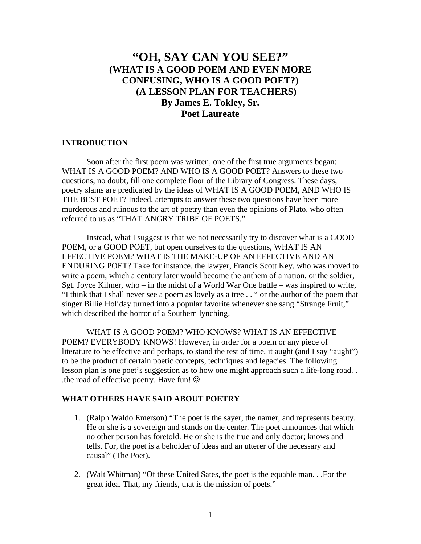# **"OH, SAY CAN YOU SEE?" (WHAT IS A GOOD POEM AND EVEN MORE CONFUSING, WHO IS A GOOD POET?) (A LESSON PLAN FOR TEACHERS) By James E. Tokley, Sr. Poet Laureate**

#### **INTRODUCTION**

 Soon after the first poem was written, one of the first true arguments began: WHAT IS A GOOD POEM? AND WHO IS A GOOD POET? Answers to these two questions, no doubt, fill one complete floor of the Library of Congress. These days, poetry slams are predicated by the ideas of WHAT IS A GOOD POEM, AND WHO IS THE BEST POET? Indeed, attempts to answer these two questions have been more murderous and ruinous to the art of poetry than even the opinions of Plato, who often referred to us as "THAT ANGRY TRIBE OF POETS."

 Instead, what I suggest is that we not necessarily try to discover what is a GOOD POEM, or a GOOD POET, but open ourselves to the questions, WHAT IS AN EFFECTIVE POEM? WHAT IS THE MAKE-UP OF AN EFFECTIVE AND AN ENDURING POET? Take for instance, the lawyer, Francis Scott Key, who was moved to write a poem, which a century later would become the anthem of a nation, or the soldier, Sgt. Joyce Kilmer, who – in the midst of a World War One battle – was inspired to write, "I think that I shall never see a poem as lovely as a tree . . " or the author of the poem that singer Billie Holiday turned into a popular favorite whenever she sang "Strange Fruit," which described the horror of a Southern lynching.

 WHAT IS A GOOD POEM? WHO KNOWS? WHAT IS AN EFFECTIVE POEM? EVERYBODY KNOWS! However, in order for a poem or any piece of literature to be effective and perhaps, to stand the test of time, it aught (and I say "aught") to be the product of certain poetic concepts, techniques and legacies. The following lesson plan is one poet's suggestion as to how one might approach such a life-long road. . .the road of effective poetry. Have fun!  $\odot$ 

### **WHAT OTHERS HAVE SAID ABOUT POETRY**

- 1. (Ralph Waldo Emerson) "The poet is the sayer, the namer, and represents beauty. He or she is a sovereign and stands on the center. The poet announces that which no other person has foretold. He or she is the true and only doctor; knows and tells. For, the poet is a beholder of ideas and an utterer of the necessary and causal" (The Poet).
- 2. (Walt Whitman) "Of these United Sates, the poet is the equable man. . .For the great idea. That, my friends, that is the mission of poets."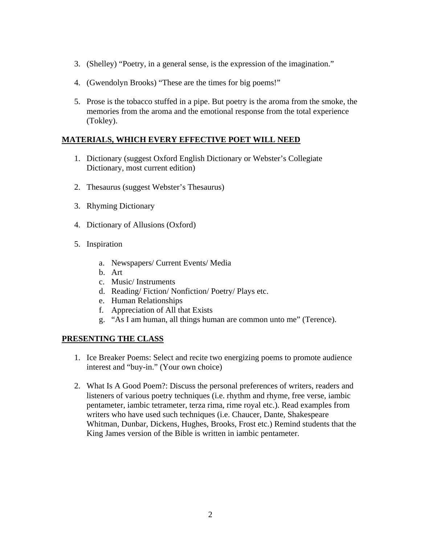- 3. (Shelley) "Poetry, in a general sense, is the expression of the imagination."
- 4. (Gwendolyn Brooks) "These are the times for big poems!"
- 5. Prose is the tobacco stuffed in a pipe. But poetry is the aroma from the smoke, the memories from the aroma and the emotional response from the total experience (Tokley).

## **MATERIALS, WHICH EVERY EFFECTIVE POET WILL NEED**

- 1. Dictionary (suggest Oxford English Dictionary or Webster's Collegiate Dictionary, most current edition)
- 2. Thesaurus (suggest Webster's Thesaurus)
- 3. Rhyming Dictionary
- 4. Dictionary of Allusions (Oxford)
- 5. Inspiration
	- a. Newspapers/ Current Events/ Media
	- b. Art
	- c. Music/ Instruments
	- d. Reading/ Fiction/ Nonfiction/ Poetry/ Plays etc.
	- e. Human Relationships
	- f. Appreciation of All that Exists
	- g. "As I am human, all things human are common unto me" (Terence).

## **PRESENTING THE CLASS**

- 1. Ice Breaker Poems: Select and recite two energizing poems to promote audience interest and "buy-in." (Your own choice)
- 2. What Is A Good Poem?: Discuss the personal preferences of writers, readers and listeners of various poetry techniques (i.e. rhythm and rhyme, free verse, iambic pentameter, iambic tetrameter, terza rima, rime royal etc.). Read examples from writers who have used such techniques (i.e. Chaucer, Dante, Shakespeare Whitman, Dunbar, Dickens, Hughes, Brooks, Frost etc.) Remind students that the King James version of the Bible is written in iambic pentameter.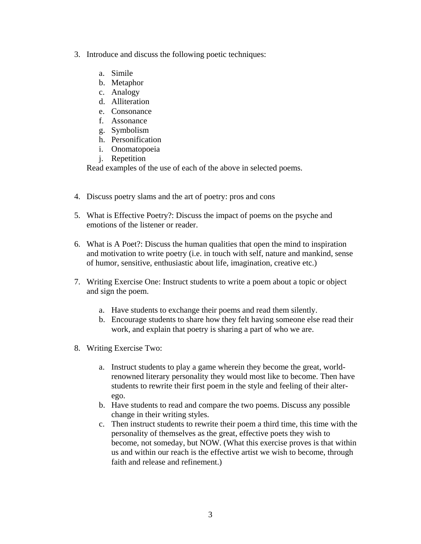- 3. Introduce and discuss the following poetic techniques:
	- a. Simile
	- b. Metaphor
	- c. Analogy
	- d. Alliteration
	- e. Consonance
	- f. Assonance
	- g. Symbolism
	- h. Personification
	- i. Onomatopoeia
	- j. Repetition

Read examples of the use of each of the above in selected poems.

- 4. Discuss poetry slams and the art of poetry: pros and cons
- 5. What is Effective Poetry?: Discuss the impact of poems on the psyche and emotions of the listener or reader.
- 6. What is A Poet?: Discuss the human qualities that open the mind to inspiration and motivation to write poetry (i.e. in touch with self, nature and mankind, sense of humor, sensitive, enthusiastic about life, imagination, creative etc.)
- 7. Writing Exercise One: Instruct students to write a poem about a topic or object and sign the poem.
	- a. Have students to exchange their poems and read them silently.
	- b. Encourage students to share how they felt having someone else read their work, and explain that poetry is sharing a part of who we are.
- 8. Writing Exercise Two:
	- a. Instruct students to play a game wherein they become the great, worldrenowned literary personality they would most like to become. Then have students to rewrite their first poem in the style and feeling of their alterego.
	- b. Have students to read and compare the two poems. Discuss any possible change in their writing styles.
	- c. Then instruct students to rewrite their poem a third time, this time with the personality of themselves as the great, effective poets they wish to become, not someday, but NOW. (What this exercise proves is that within us and within our reach is the effective artist we wish to become, through faith and release and refinement.)